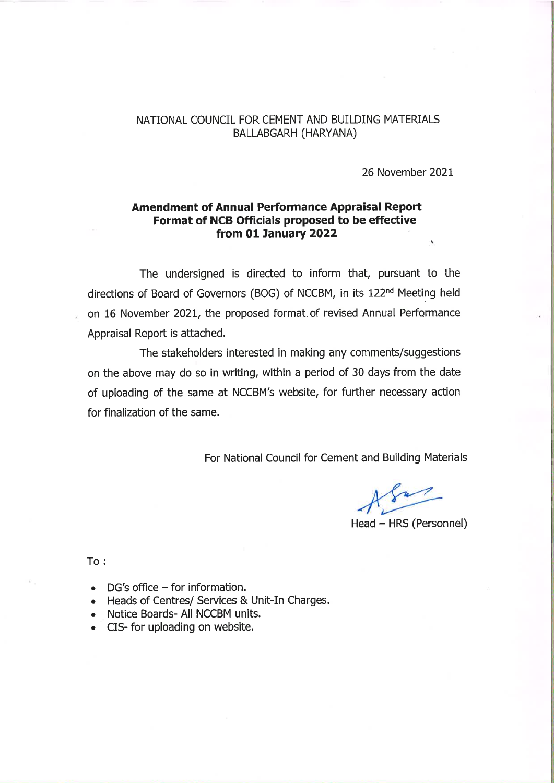## NATIONAL COUNCIL FOR CEMENT AND BUILDING MATERIALS BALLABGARH (HARYANA)

26 November 2021

## **Amendment of Annual Performance Appraisal Report** Format of NCB Officials proposed to be effective from 01 January 2022

The undersigned is directed to inform that, pursuant to the directions of Board of Governors (BOG) of NCCBM, in its 122<sup>nd</sup> Meeting held on 16 November 2021, the proposed format of revised Annual Performance Appraisal Report is attached.

The stakeholders interested in making any comments/suggestions on the above may do so in writing, within a period of 30 days from the date of uploading of the same at NCCBM's website, for further necessary action for finalization of the same.

For National Council for Cement and Building Materials

Head - HRS (Personnel)

 $To:$ 

- $DG's$  office  $-$  for information.
- Heads of Centres/ Services & Unit-In Charges.
- Notice Boards- All NCCBM units.
- CIS- for uploading on website.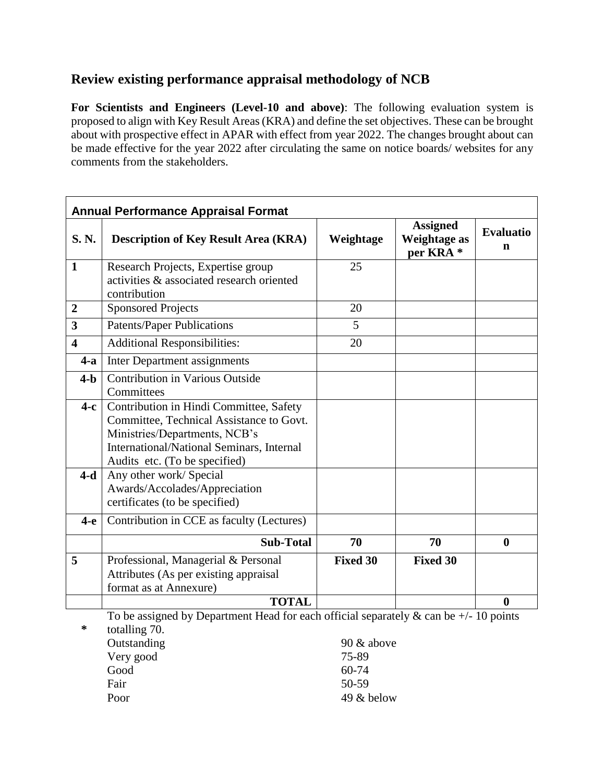## **Review existing performance appraisal methodology of NCB**

**For Scientists and Engineers (Level-10 and above)**: The following evaluation system is proposed to align with Key Result Areas (KRA) and define the set objectives. These can be brought about with prospective effect in APAR with effect from year 2022. The changes brought about can be made effective for the year 2022 after circulating the same on notice boards/ websites for any comments from the stakeholders.

| <b>Annual Performance Appraisal Format</b>                                                                     |                                                                                                                                                                                                    |                 |                                                                |                       |
|----------------------------------------------------------------------------------------------------------------|----------------------------------------------------------------------------------------------------------------------------------------------------------------------------------------------------|-----------------|----------------------------------------------------------------|-----------------------|
| S.N.                                                                                                           | <b>Description of Key Result Area (KRA)</b>                                                                                                                                                        | Weightage       | <b>Assigned</b><br><b>Weightage as</b><br>per KRA <sup>*</sup> | <b>Evaluatio</b><br>n |
| $\mathbf{1}$                                                                                                   | Research Projects, Expertise group<br>activities & associated research oriented<br>contribution                                                                                                    | 25              |                                                                |                       |
| $\boldsymbol{2}$                                                                                               | <b>Sponsored Projects</b>                                                                                                                                                                          | 20              |                                                                |                       |
| 3                                                                                                              | <b>Patents/Paper Publications</b>                                                                                                                                                                  | 5               |                                                                |                       |
| $\overline{\mathbf{4}}$                                                                                        | <b>Additional Responsibilities:</b>                                                                                                                                                                | 20              |                                                                |                       |
| $4-a$                                                                                                          | Inter Department assignments                                                                                                                                                                       |                 |                                                                |                       |
| $4-b$                                                                                                          | <b>Contribution in Various Outside</b><br>Committees                                                                                                                                               |                 |                                                                |                       |
| $4-c$                                                                                                          | Contribution in Hindi Committee, Safety<br>Committee, Technical Assistance to Govt.<br>Ministries/Departments, NCB's<br>International/National Seminars, Internal<br>Audits etc. (To be specified) |                 |                                                                |                       |
| $4-d$                                                                                                          | Any other work/ Special<br>Awards/Accolades/Appreciation<br>certificates (to be specified)                                                                                                         |                 |                                                                |                       |
| $4-e$                                                                                                          | Contribution in CCE as faculty (Lectures)                                                                                                                                                          |                 |                                                                |                       |
|                                                                                                                | <b>Sub-Total</b>                                                                                                                                                                                   | 70              | 70                                                             | $\bf{0}$              |
| 5                                                                                                              | Professional, Managerial & Personal<br>Attributes (As per existing appraisal<br>format as at Annexure)                                                                                             | <b>Fixed 30</b> | <b>Fixed 30</b>                                                |                       |
| <b>TOTAL</b><br>0<br>To be assigned by Department Head for each official separately $\&$ can be $+/-10$ points |                                                                                                                                                                                                    |                 |                                                                |                       |

**\*** gned by Department Head for each official separately  $\&$  can be +/- 10 points totalling 70. Outstanding 90 & above Very good 75-89 Good 60-74 Fair 50-59 Poor 49 & below